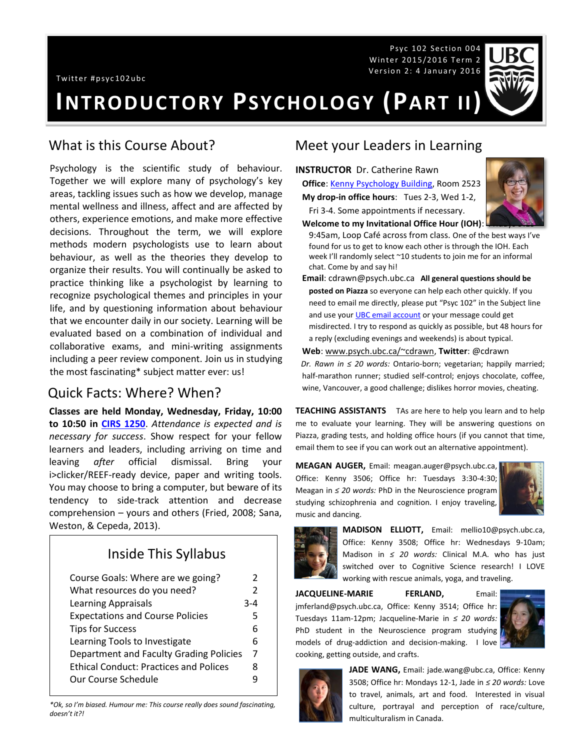Twitter #psyc102ubc

Psyc 102 Section 004 Winter 2015/2016 Term 2 Version 2: 4 January 2016



**INTRODUCTORY PSYCHOLOGY (PART II)**

#### What is this Course About?

Psychology is the scientific study of behaviour. Together we will explore many of psychology's key areas, tackling issues such as how we develop, manage mental wellness and illness, affect and are affected by others, experience emotions, and make more effective decisions. Throughout the term, we will explore methods modern psychologists use to learn about behaviour, as well as the theories they develop to organize their results. You will continually be asked to practice thinking like a psychologist by learning to recognize psychological themes and principles in your life, and by questioning information about behaviour that we encounter daily in our society. Learning will be evaluated based on a combination of individual and collaborative exams, and mini-writing assignments including a peer review component. Join us in studying the most fascinating\* subject matter ever: us!

### Quick Facts: Where? When?

**Classes are held Monday, Wednesday, Friday, 10:00 to 10:50 in [CIRS 1250](http://www.maps.ubc.ca/PROD/index_detail.php?locat1=633)**. *Attendance is expected and is necessary for success*. Show respect for your fellow learners and leaders, including arriving on time and leaving *after* official dismissal. Bring your i>clicker/REEF-ready device, paper and writing tools. You may choose to bring a computer, but beware of its tendency to side-track attention and decrease comprehension – yours and others (Fried, 2008; Sana, Weston, & Cepeda, 2013).

# Inside This Syllabus

| Course Goals: Where are we going?             | 2             |
|-----------------------------------------------|---------------|
| What resources do you need?                   | $\mathcal{P}$ |
| <b>Learning Appraisals</b>                    | 3-4           |
| <b>Expectations and Course Policies</b>       | 5             |
| <b>Tips for Success</b>                       | 6             |
| Learning Tools to Investigate                 | 6             |
| Department and Faculty Grading Policies       | 7             |
| <b>Ethical Conduct: Practices and Polices</b> | 8             |
| Our Course Schedule                           |               |

*\*Ok, so I'm biased. Humour me: This course really does sound fascinating, doesn't it?!*

### Meet your Leaders in Learning

**INSTRUCTOR** Dr. Catherine Rawn **Office**: [Kenny Psychology Building,](http://www.maps.ubc.ca/PROD/index_detail.php?locat1=732) Room 2523

**My drop-in office hours**: Tues 2-3, Wed 1-2, Fri 3-4. Some appointments if necessary.



**Welcome to my Invitational Office Hour (IOH):** 

9:45am, Loop Café across from class. One of the best ways I've found for us to get to know each other is through the IOH. Each week I'll randomly select ~10 students to join me for an informal chat. Come by and say hi!

**Email**: cdrawn@psych.ubc.ca **All general questions should be posted on Piazza** so everyone can help each other quickly. If you need to email me directly, please put "Psyc 102" in the Subject line and use you[r UBC email account](http://it.ubc.ca/services/email-voice-internet/student-alumni-email-service) or your message could get misdirected. I try to respond as quickly as possible, but 48 hours for a reply (excluding evenings and weekends) is about typical.

#### **Web**[: www.psych.ubc.ca/~cdrawn,](http://www.psych.ubc.ca/~cdrawn) **Twitter**: @cdrawn

*Dr. Rawn in ≤ 20 words:* Ontario-born; vegetarian; happily married; half-marathon runner; studied self-control; enjoys chocolate, coffee, wine, Vancouver, a good challenge; dislikes horror movies, cheating.

**TEACHING ASSISTANTS** TAs are here to help you learn and to help me to evaluate your learning. They will be answering questions on Piazza, grading tests, and holding office hours (if you cannot that time, email them to see if you can work out an alternative appointment).

**MEAGAN AUGER,** Email: meagan.auger@psych.ubc.ca, Office: Kenny 3506; Office hr: Tuesdays 3:30-4:30; Meagan in *≤ 20 words:* PhD in the Neuroscience program studying schizophrenia and cognition. I enjoy traveling, music and dancing.





**MADISON ELLIOTT,** Email: mellio10@psych.ubc.ca, Office: Kenny 3508; Office hr: Wednesdays 9-10am; Madison in *≤ 20 words:* Clinical M.A. who has just switched over to Cognitive Science research! I LOVE working with rescue animals, yoga, and traveling.

**JACQUELINE-MARIE FERLAND,** Email: jmferland@psych.ubc.ca, Office: Kenny 3514; Office hr: Tuesdays 11am-12pm; Jacqueline-Marie in *≤ 20 words:* PhD student in the Neuroscience program studying models of drug-addiction and decision-making. I love cooking, getting outside, and crafts.





**JADE WANG,** Email: jade.wang@ubc.ca, Office: Kenny 3508; Office hr: Mondays 12-1, Jade in *≤ 20 words:* Love to travel, animals, art and food. Interested in visual culture, portrayal and perception of race/culture, multiculturalism in Canada.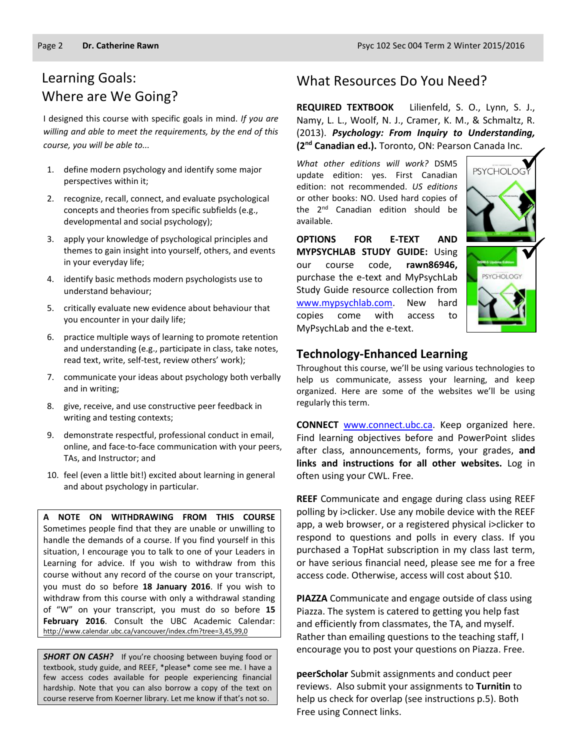# Learning Goals: Where are We Going?

I designed this course with specific goals in mind. *If you are willing and able to meet the requirements, by the end of this course, you will be able to...*

- 1. define modern psychology and identify some major perspectives within it;
- 2. recognize, recall, connect, and evaluate psychological concepts and theories from specific subfields (e.g., developmental and social psychology);
- 3. apply your knowledge of psychological principles and themes to gain insight into yourself, others, and events in your everyday life;
- 4. identify basic methods modern psychologists use to understand behaviour;
- 5. critically evaluate new evidence about behaviour that you encounter in your daily life;
- 6. practice multiple ways of learning to promote retention and understanding (e.g., participate in class, take notes, read text, write, self-test, review others' work);
- 7. communicate your ideas about psychology both verbally and in writing;
- 8. give, receive, and use constructive peer feedback in writing and testing contexts;
- 9. demonstrate respectful, professional conduct in email, online, and face-to-face communication with your peers, TAs, and Instructor; and
- 10. feel (even a little bit!) excited about learning in general and about psychology in particular.

**A NOTE ON WITHDRAWING FROM THIS COURSE**  Sometimes people find that they are unable or unwilling to handle the demands of a course. If you find yourself in this situation, I encourage you to talk to one of your Leaders in Learning for advice. If you wish to withdraw from this course without any record of the course on your transcript, you must do so before **18 January 2016**. If you wish to withdraw from this course with only a withdrawal standing of "W" on your transcript, you must do so before **15 February 2016**. Consult the UBC Academic Calendar: <http://www.calendar.ubc.ca/vancouver/index.cfm?tree=3,45,99,0>

**SHORT ON CASH?** If you're choosing between buying food or textbook, study guide, and REEF, \*please\* come see me. I have a few access codes available for people experiencing financial hardship. Note that you can also borrow a copy of the text on course reserve from Koerner library. Let me know if that's not so.

## What Resources Do You Need?

**REQUIRED TEXTBOOK** Lilienfeld, S. O., Lynn, S. J., Namy, L. L., Woolf, N. J., Cramer, K. M., & Schmaltz, R. (2013). *Psychology: From Inquiry to Understanding,* **(2nd Canadian ed.).** Toronto, ON: Pearson Canada Inc.

*What other editions will work?* DSM5 update edition: yes. First Canadian edition: not recommended. *US editions* or other books: NO. Used hard copies of the 2<sup>nd</sup> Canadian edition should be available.

**OPTIONS FOR E-TEXT AND MYPSYCHLAB STUDY GUIDE:** Using our course code, **rawn86946,** purchase the e-text and MyPsychLab Study Guide resource collection from [www.mypsychlab.com.](http://www.mypsychlab.com/) New hard copies come with access to MyPsychLab and the e-text.



#### **Technology-Enhanced Learning**

Throughout this course, we'll be using various technologies to help us communicate, assess your learning, and keep organized. Here are some of the websites we'll be using regularly this term.

**CONNECT** [www.connect.ubc.ca.](http://www.connect.ubc.ca/) Keep organized here. Find learning objectives before and PowerPoint slides after class, announcements, forms, your grades, **and links and instructions for all other websites.** Log in often using your CWL. Free.

**REEF** Communicate and engage during class using REEF polling by i>clicker. Use any mobile device with the REEF app, a web browser, or a registered physical i>clicker to respond to questions and polls in every class. If you purchased a TopHat subscription in my class last term, or have serious financial need, please see me for a free access code. Otherwise, access will cost about \$10.

**PIAZZA** Communicate and engage outside of class using Piazza. The system is catered to getting you help fast and efficiently from classmates, the TA, and myself. Rather than emailing questions to the teaching staff, I encourage you to post your questions on Piazza. Free.

**peerScholar** Submit assignments and conduct peer reviews. Also submit your assignments to **Turnitin** to help us check for overlap (see instructions p.5). Both Free using Connect links.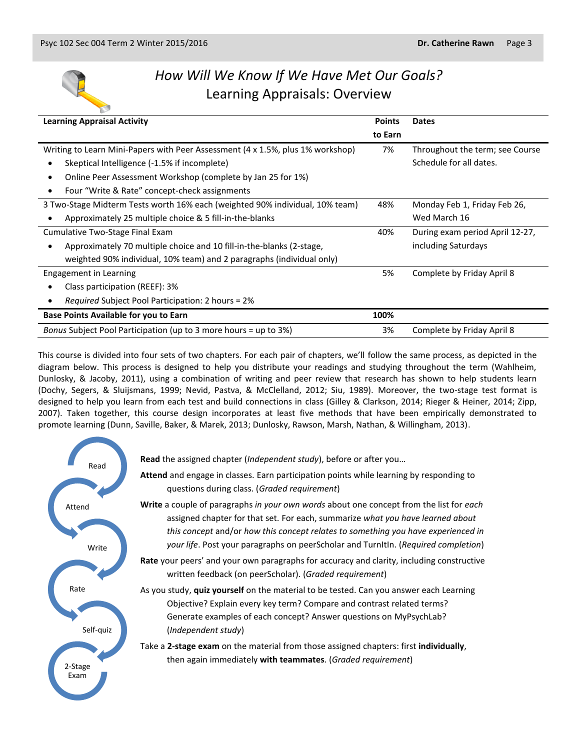

# *How Will We Know If We Have Met Our Goals?* Learning Appraisals: Overview

| <b>Learning Appraisal Activity</b>                                             | <b>Points</b> | <b>Dates</b>                    |
|--------------------------------------------------------------------------------|---------------|---------------------------------|
|                                                                                | to Earn       |                                 |
| Writing to Learn Mini-Papers with Peer Assessment (4 x 1.5%, plus 1% workshop) | 7%            | Throughout the term; see Course |
| Skeptical Intelligence (-1.5% if incomplete)                                   |               | Schedule for all dates.         |
| Online Peer Assessment Workshop (complete by Jan 25 for 1%)                    |               |                                 |
| Four "Write & Rate" concept-check assignments                                  |               |                                 |
| 3 Two-Stage Midterm Tests worth 16% each (weighted 90% individual, 10% team)   | 48%           | Monday Feb 1, Friday Feb 26,    |
| Approximately 25 multiple choice & 5 fill-in-the-blanks                        |               | Wed March 16                    |
| Cumulative Two-Stage Final Exam                                                | 40%           | During exam period April 12-27, |
| Approximately 70 multiple choice and 10 fill-in-the-blanks (2-stage,           |               | including Saturdays             |
| weighted 90% individual, 10% team) and 2 paragraphs (individual only)          |               |                                 |
| Engagement in Learning                                                         | 5%            | Complete by Friday April 8      |
| Class participation (REEF): 3%                                                 |               |                                 |
| <i>Required</i> Subject Pool Participation: 2 hours = 2%                       |               |                                 |
| <b>Base Points Available for you to Earn</b>                                   | 100%          |                                 |
| Bonus Subject Pool Participation (up to 3 more hours = up to 3%)               | 3%            | Complete by Friday April 8      |

This course is divided into four sets of two chapters. For each pair of chapters, we'll follow the same process, as depicted in the diagram below. This process is designed to help you distribute your readings and studying throughout the term (Wahlheim, Dunlosky, & Jacoby, 2011), using a combination of writing and peer review that research has shown to help students learn (Dochy, Segers, & Sluijsmans, 1999; Nevid, Pastva, & McClelland, 2012; Siu, 1989). Moreover, the two-stage test format is designed to help you learn from each test and build connections in class (Gilley & Clarkson, 2014; Rieger & Heiner, 2014; Zipp, 2007). Taken together, this course design incorporates at least five methods that have been empirically demonstrated to promote learning (Dunn, Saville, Baker, & Marek, 2013; Dunlosky, Rawson, Marsh, Nathan, & Willingham, 2013).

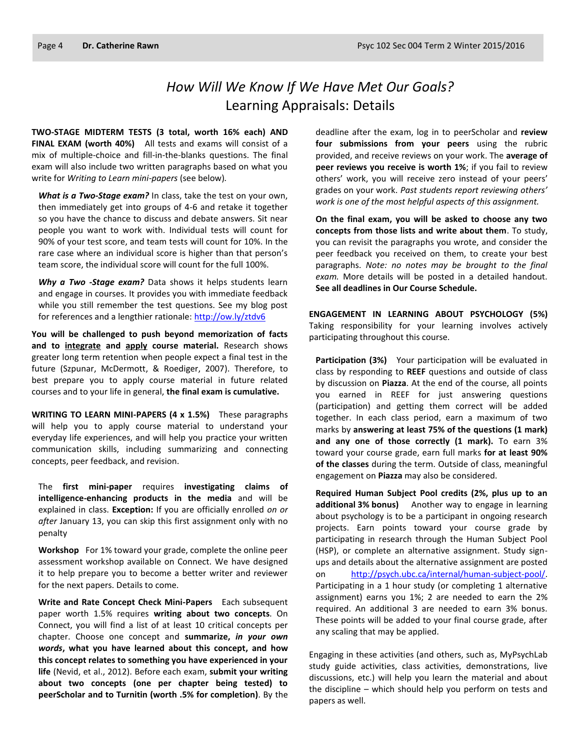# *How Will We Know If We Have Met Our Goals?* Learning Appraisals: Details

**TWO-STAGE MIDTERM TESTS (3 total, worth 16% each) AND FINAL EXAM (worth 40%)** All tests and exams will consist of a mix of multiple-choice and fill-in-the-blanks questions. The final exam will also include two written paragraphs based on what you write for *Writing to Learn mini-papers* (see below)*.*

*What is a Two-Stage exam?* In class, take the test on your own, then immediately get into groups of 4-6 and retake it together so you have the chance to discuss and debate answers. Sit near people you want to work with. Individual tests will count for 90% of your test score, and team tests will count for 10%. In the rare case where an individual score is higher than that person's team score, the individual score will count for the full 100%.

*Why a Two -Stage exam?* Data shows it helps students learn and engage in courses. It provides you with immediate feedback while you still remember the test questions. See my blog post for references and a lengthier rationale:<http://ow.ly/ztdv6>

**You will be challenged to push beyond memorization of facts and to integrate and apply course material.** Research shows greater long term retention when people expect a final test in the future (Szpunar, McDermott, & Roediger, 2007). Therefore, to best prepare you to apply course material in future related courses and to your life in general, **the final exam is cumulative.**

**WRITING TO LEARN MINI-PAPERS (4 x 1.5%)** These paragraphs will help you to apply course material to understand your everyday life experiences, and will help you practice your written communication skills, including summarizing and connecting concepts, peer feedback, and revision.

The **first mini-paper** requires **investigating claims of intelligence-enhancing products in the media** and will be explained in class. **Exception:** If you are officially enrolled *on or after* January 13, you can skip this first assignment only with no penalty

**Workshop** For 1% toward your grade, complete the online peer assessment workshop available on Connect. We have designed it to help prepare you to become a better writer and reviewer for the next papers. Details to come.

**Write and Rate Concept Check Mini-Papers** Each subsequent paper worth 1.5% requires **writing about two concepts**. On Connect, you will find a list of at least 10 critical concepts per chapter. Choose one concept and **summarize,** *in your own words***, what you have learned about this concept, and how this concept relates to something you have experienced in your life** (Nevid, et al., 2012). Before each exam, **submit your writing about two concepts (one per chapter being tested) to peerScholar and to Turnitin (worth .5% for completion)**. By the

deadline after the exam, log in to peerScholar and **review four submissions from your peers** using the rubric provided, and receive reviews on your work. The **average of peer reviews you receive is worth 1%**; if you fail to review others' work, you will receive zero instead of your peers' grades on your work. *Past students report reviewing others' work is one of the most helpful aspects of this assignment.*

**On the final exam, you will be asked to choose any two concepts from those lists and write about them**. To study, you can revisit the paragraphs you wrote, and consider the peer feedback you received on them, to create your best paragraphs. *Note: no notes may be brought to the final exam.* More details will be posted in a detailed handout. **See all deadlines in Our Course Schedule.**

**ENGAGEMENT IN LEARNING ABOUT PSYCHOLOGY (5%)** Taking responsibility for your learning involves actively participating throughout this course.

**Participation (3%)** Your participation will be evaluated in class by responding to **REEF** questions and outside of class by discussion on **Piazza**. At the end of the course, all points you earned in REEF for just answering questions (participation) and getting them correct will be added together. In each class period, earn a maximum of two marks by **answering at least 75% of the questions (1 mark) and any one of those correctly (1 mark).** To earn 3% toward your course grade, earn full marks **for at least 90% of the classes** during the term. Outside of class, meaningful engagement on **Piazza** may also be considered.

**Required Human Subject Pool credits (2%, plus up to an additional 3% bonus)** Another way to engage in learning about psychology is to be a participant in ongoing research projects. Earn points toward your course grade by participating in research through the Human Subject Pool (HSP), or complete an alternative assignment. Study signups and details about the alternative assignment are posted on [http://psych.ubc.ca/internal/human-subject-pool/.](http://psych.ubc.ca/internal/human-subject-pool/) Participating in a 1 hour study (or completing 1 alternative assignment) earns you 1%; 2 are needed to earn the 2% required. An additional 3 are needed to earn 3% bonus. These points will be added to your final course grade, after any scaling that may be applied.

Engaging in these activities (and others, such as, MyPsychLab study guide activities, class activities, demonstrations, live discussions, etc.) will help you learn the material and about the discipline – which should help you perform on tests and papers as well.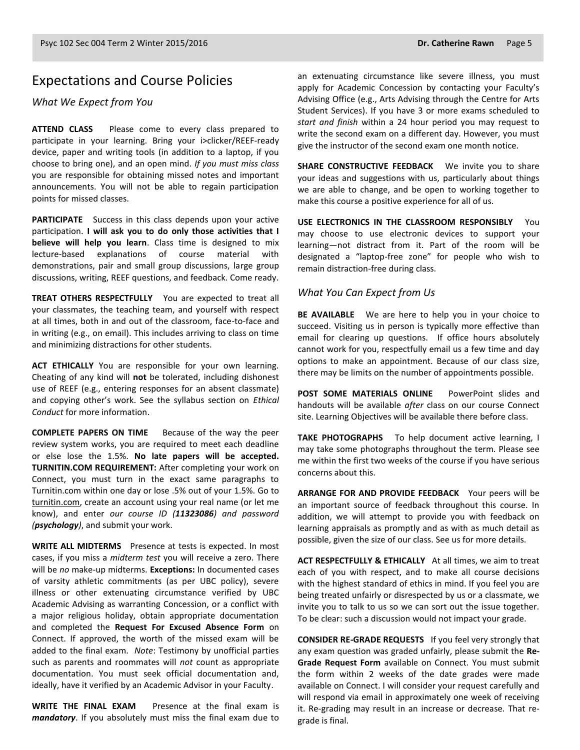### Expectations and Course Policies

#### *What We Expect from You*

**ATTEND CLASS** Please come to every class prepared to participate in your learning. Bring your i>clicker/REEF-ready device, paper and writing tools (in addition to a laptop, if you choose to bring one), and an open mind. *If you must miss class* you are responsible for obtaining missed notes and important announcements. You will not be able to regain participation points for missed classes.

**PARTICIPATE** Success in this class depends upon your active participation. **I will ask you to do only those activities that I believe will help you learn**. Class time is designed to mix lecture-based explanations of course material with demonstrations, pair and small group discussions, large group discussions, writing, REEF questions, and feedback. Come ready.

**TREAT OTHERS RESPECTFULLY** You are expected to treat all your classmates, the teaching team, and yourself with respect at all times, both in and out of the classroom, face-to-face and in writing (e.g., on email). This includes arriving to class on time and minimizing distractions for other students.

**ACT ETHICALLY** You are responsible for your own learning. Cheating of any kind will **not** be tolerated, including dishonest use of REEF (e.g., entering responses for an absent classmate) and copying other's work. See the syllabus section on *Ethical Conduct* for more information.

**COMPLETE PAPERS ON TIME** Because of the way the peer review system works, you are required to meet each deadline or else lose the 1.5%. **No late papers will be accepted. TURNITIN.COM REQUIREMENT:** After completing your work on Connect, you must turn in the exact same paragraphs to Turnitin.com within one day or lose .5% out of your 1.5%. Go to [turnitin.com,](http://www.turnitin.com/) create an account using your real name (or let me know), and enter *our course ID (11323086) and password (psychology)*, and submit your work.

**WRITE ALL MIDTERMS** Presence at tests is expected. In most cases, if you miss a *midterm test* you will receive a zero. There will be *no* make-up midterms. **Exceptions:** In documented cases of varsity athletic commitments (as per UBC policy), severe illness or other extenuating circumstance verified by UBC Academic Advising as warranting Concession, or a conflict with a major religious holiday, obtain appropriate documentation and completed the **Request For Excused Absence Form** on Connect. If approved, the worth of the missed exam will be added to the final exam. *Note*: Testimony by unofficial parties such as parents and roommates will *not* count as appropriate documentation. You must seek official documentation and, ideally, have it verified by an Academic Advisor in your Faculty.

**WRITE THE FINAL EXAM** Presence at the final exam is *mandatory*. If you absolutely must miss the final exam due to an extenuating circumstance like severe illness, you must apply for Academic Concession by contacting your Faculty's Advising Office (e.g., Arts Advising through the Centre for Arts Student Services). If you have 3 or more exams scheduled to *start and finish* within a 24 hour period you may request to write the second exam on a different day. However, you must give the instructor of the second exam one month notice.

**SHARE CONSTRUCTIVE FEEDBACK** We invite you to share your ideas and suggestions with us, particularly about things we are able to change, and be open to working together to make this course a positive experience for all of us.

**USE ELECTRONICS IN THE CLASSROOM RESPONSIBLY** You may choose to use electronic devices to support your learning—not distract from it. Part of the room will be designated a "laptop-free zone" for people who wish to remain distraction-free during class.

#### *What You Can Expect from Us*

**BE AVAILABLE** We are here to help you in your choice to succeed. Visiting us in person is typically more effective than email for clearing up questions. If office hours absolutely cannot work for you, respectfully email us a few time and day options to make an appointment. Because of our class size, there may be limits on the number of appointments possible.

**POST SOME MATERIALS ONLINE** PowerPoint slides and handouts will be available *after* class on our course Connect site. Learning Objectives will be available there before class.

**TAKE PHOTOGRAPHS** To help document active learning, I may take some photographs throughout the term. Please see me within the first two weeks of the course if you have serious concerns about this.

**ARRANGE FOR AND PROVIDE FEEDBACK** Your peers will be an important source of feedback throughout this course. In addition, we will attempt to provide you with feedback on learning appraisals as promptly and as with as much detail as possible, given the size of our class. See us for more details.

**ACT RESPECTFULLY & ETHICALLY** At all times, we aim to treat each of you with respect, and to make all course decisions with the highest standard of ethics in mind. If you feel you are being treated unfairly or disrespected by us or a classmate, we invite you to talk to us so we can sort out the issue together. To be clear: such a discussion would not impact your grade.

**CONSIDER RE-GRADE REQUESTS** If you feel very strongly that any exam question was graded unfairly, please submit the **Re-Grade Request Form** available on Connect. You must submit the form within 2 weeks of the date grades were made available on Connect. I will consider your request carefully and will respond via email in approximately one week of receiving it. Re-grading may result in an increase or decrease. That regrade is final.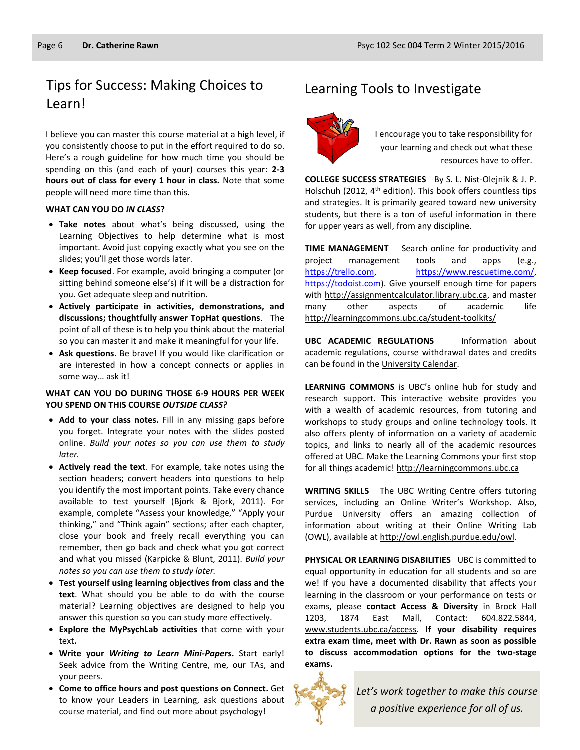# Tips for Success: Making Choices to Learning Tools to Investigate Learn!

I believe you can master this course material at a high level, if you consistently choose to put in the effort required to do so. Here's a rough guideline for how much time you should be spending on this (and each of your) courses this year: **2-3 hours out of class for every 1 hour in class.** Note that some people will need more time than this.

#### **WHAT CAN YOU DO** *IN CLASS***?**

- **Take notes** about what's being discussed, using the Learning Objectives to help determine what is most important. Avoid just copying exactly what you see on the slides; you'll get those words later.
- **Keep focused**. For example, avoid bringing a computer (or sitting behind someone else's) if it will be a distraction for you. Get adequate sleep and nutrition.
- **Actively participate in activities, demonstrations, and discussions; thoughtfully answer TopHat questions**. The point of all of these is to help you think about the material so you can master it and make it meaningful for your life.
- **Ask questions**. Be brave! If you would like clarification or are interested in how a concept connects or applies in some way… ask it!

#### **WHAT CAN YOU DO DURING THOSE 6-9 HOURS PER WEEK YOU SPEND ON THIS COURSE** *OUTSIDE CLASS?*

- **Add to your class notes.** Fill in any missing gaps before you forget. Integrate your notes with the slides posted online. *Build your notes so you can use them to study later.*
- **Actively read the text**. For example, take notes using the section headers; convert headers into questions to help you identify the most important points. Take every chance available to test yourself (Bjork & Bjork, 2011). For example, complete "Assess your knowledge," "Apply your thinking," and "Think again" sections; after each chapter, close your book and freely recall everything you can remember, then go back and check what you got correct and what you missed (Karpicke & Blunt, 2011). *Build your notes so you can use them to study later.*
- **Test yourself using learning objectives from class and the text**. What should you be able to do with the course material? Learning objectives are designed to help you answer this question so you can study more effectively.
- **Explore the MyPsychLab activities** that come with your text**.**
- **Write your** *Writing to Learn Mini-Papers***.** Start early! Seek advice from the Writing Centre, me, our TAs, and your peers.
- **Come to office hours and post questions on Connect.** Get to know your Leaders in Learning, ask questions about course material, and find out more about psychology!



I encourage you to take responsibility for your learning and check out what these resources have to offer.

**COLLEGE SUCCESS STRATEGIES** By S. L. Nist-Olejnik & J. P. Holschuh (2012, 4<sup>th</sup> edition). This book offers countless tips and strategies. It is primarily geared toward new university students, but there is a ton of useful information in there for upper years as well, from any discipline.

**TIME MANAGEMENT** Search online for productivity and project management tools and apps (e.g., [https://trello.com,](https://trello.com/) [https://www.rescuetime.com/,](https://www.rescuetime.com/)  [https://todoist.com\)](https://todoist.com/). Give yourself enough time for papers with [http://assignmentcalculator.library.ubc.ca,](http://assignmentcalculator.library.ubc.ca/) and master many other aspects of academic life <http://learningcommons.ubc.ca/student-toolkits/>

**UBC ACADEMIC REGULATIONS** Information about academic regulations, course withdrawal dates and credits can be found in th[e University Calendar.](http://students.ubc.ca/calendar/academicyear.cfm)

**LEARNING COMMONS** is UBC's online hub for study and research support. This interactive website provides you with a wealth of academic resources, from tutoring and workshops to study groups and online technology tools. It also offers plenty of information on a variety of academic topics, and links to nearly all of the academic resources offered at UBC. Make the Learning Commons your first stop for all things academic! [http://learningcommons.ubc.ca](http://learningcommons.ubc.ca/)

**WRITING SKILLS** The UBC Writing Centre offers tutoring [services,](http://cstudies.ubc.ca/writing/resources.html) including an [Online Writer's Workshop](http://www.writingcentre.ubc.ca/workshop/index.html). Also, Purdue University offers an amazing collection of information about writing at their Online Writing Lab (OWL), available a[t http://owl.english.purdue.edu/owl.](http://owl.english.purdue.edu/owl/)

**PHYSICAL OR LEARNING DISABILITIES** UBC is committed to equal opportunity in education for all students and so are we! If you have a documented disability that affects your learning in the classroom or your performance on tests or exams, please **contact Access & Diversity** in Brock Hall 1203, 1874 East Mall, Contact: 604.822.5844, [www.students.ubc.ca/access.](http://www.students.ubc.ca/access) **If your disability requires extra exam time, meet with Dr. Rawn as soon as possible to discuss accommodation options for the two-stage exams.**



*Let's work together to make this course a positive experience for all of us.*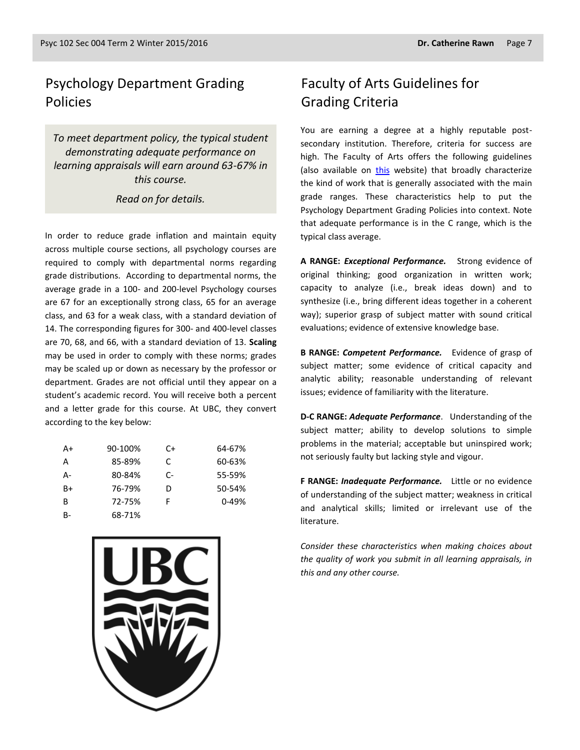## Psychology Department Grading Policies

*To meet department policy, the typical student demonstrating adequate performance on learning appraisals will earn around 63-67% in this course.* 

#### *Read on for details.*

In order to reduce grade inflation and maintain equity across multiple course sections, all psychology courses are required to comply with departmental norms regarding grade distributions. According to departmental norms, the average grade in a 100- and 200-level Psychology courses are 67 for an exceptionally strong class, 65 for an average class, and 63 for a weak class, with a standard deviation of 14. The corresponding figures for 300- and 400-level classes are 70, 68, and 66, with a standard deviation of 13. **Scaling** may be used in order to comply with these norms; grades may be scaled up or down as necessary by the professor or department. Grades are not official until they appear on a student's academic record. You will receive both a percent and a letter grade for this course. At UBC, they convert according to the key below:

| $A+$ | 90-100% | C+   | 64-67%    |
|------|---------|------|-----------|
| А    | 85-89%  | C    | 60-63%    |
| А-   | 80-84%  | $C-$ | 55-59%    |
| $B+$ | 76-79%  | D    | 50-54%    |
| B    | 72-75%  | F    | $0 - 49%$ |
| B-   | 68-71%  |      |           |



## Faculty of Arts Guidelines for Grading Criteria

You are earning a degree at a highly reputable postsecondary institution. Therefore, criteria for success are high. The Faculty of Arts offers the following guidelines (also available on [this](http://legacy.arts.ubc.ca/faculty-amp-staff/resources/courses-and-grading/grading-guidelines.html) website) that broadly characterize the kind of work that is generally associated with the main grade ranges. These characteristics help to put the Psychology Department Grading Policies into context. Note that adequate performance is in the C range, which is the typical class average.

**A RANGE:** *Exceptional Performance.* Strong evidence of original thinking; good organization in written work; capacity to analyze (i.e., break ideas down) and to synthesize (i.e., bring different ideas together in a coherent way); superior grasp of subject matter with sound critical evaluations; evidence of extensive knowledge base.

**B RANGE:** *Competent Performance.* Evidence of grasp of subject matter; some evidence of critical capacity and analytic ability; reasonable understanding of relevant issues; evidence of familiarity with the literature.

**D-C RANGE:** *Adequate Performance*. Understanding of the subject matter; ability to develop solutions to simple problems in the material; acceptable but uninspired work; not seriously faulty but lacking style and vigour.

**F RANGE:** *Inadequate Performance.* Little or no evidence of understanding of the subject matter; weakness in critical and analytical skills; limited or irrelevant use of the literature.

*Consider these characteristics when making choices about the quality of work you submit in all learning appraisals, in this and any other course.*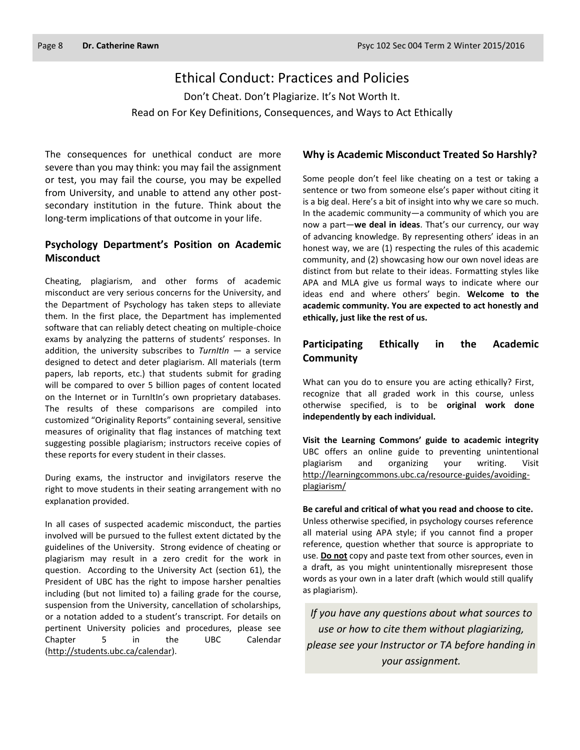### Ethical Conduct: Practices and Policies

Don't Cheat. Don't Plagiarize. It's Not Worth It. Read on For Key Definitions, Consequences, and Ways to Act Ethically

The consequences for unethical conduct are more severe than you may think: you may fail the assignment or test, you may fail the course, you may be expelled from University, and unable to attend any other postsecondary institution in the future. Think about the long-term implications of that outcome in your life.

#### **Psychology Department's Position on Academic Misconduct**

Cheating, plagiarism, and other forms of academic misconduct are very serious concerns for the University, and the Department of Psychology has taken steps to alleviate them. In the first place, the Department has implemented software that can reliably detect cheating on multiple-choice exams by analyzing the patterns of students' responses. In addition, the university subscribes to *TurnItIn* — a service designed to detect and deter plagiarism. All materials (term papers, lab reports, etc.) that students submit for grading will be compared to over 5 billion pages of content located on the Internet or in TurnItIn's own proprietary databases. The results of these comparisons are compiled into customized "Originality Reports" containing several, sensitive measures of originality that flag instances of matching text suggesting possible plagiarism; instructors receive copies of these reports for every student in their classes.

During exams, the instructor and invigilators reserve the right to move students in their seating arrangement with no explanation provided.

In all cases of suspected academic misconduct, the parties involved will be pursued to the fullest extent dictated by the guidelines of the University. Strong evidence of cheating or plagiarism may result in a zero credit for the work in question. According to the University Act (section 61), the President of UBC has the right to impose harsher penalties including (but not limited to) a failing grade for the course, suspension from the University, cancellation of scholarships, or a notation added to a student's transcript. For details on pertinent University policies and procedures, please see Chapter 5 in the UBC Calendar [\(http://students.ubc.ca/calendar\)](http://students.ubc.ca/calendar).

#### **Why is Academic Misconduct Treated So Harshly?**

Some people don't feel like cheating on a test or taking a sentence or two from someone else's paper without citing it is a big deal. Here's a bit of insight into why we care so much. In the academic community—a community of which you are now a part—**we deal in ideas**. That's our currency, our way of advancing knowledge. By representing others' ideas in an honest way, we are (1) respecting the rules of this academic community, and (2) showcasing how our own novel ideas are distinct from but relate to their ideas. Formatting styles like APA and MLA give us formal ways to indicate where our ideas end and where others' begin. **Welcome to the academic community. You are expected to act honestly and ethically, just like the rest of us.**

#### **Participating Ethically in the Academic Community**

What can you do to ensure you are acting ethically? First, recognize that all graded work in this course, unless otherwise specified, is to be **original work done independently by each individual.**

**Visit the Learning Commons' guide to academic integrity**  UBC offers an online guide to preventing unintentional plagiarism and organizing your writing. Visit [http://learningcommons.ubc.ca/resource-guides/avoiding](http://learningcommons.ubc.ca/resource-guides/avoiding-plagiarism/)[plagiarism/](http://learningcommons.ubc.ca/resource-guides/avoiding-plagiarism/)

**Be careful and critical of what you read and choose to cite.** Unless otherwise specified, in psychology courses reference all material using APA style; if you cannot find a proper reference, question whether that source is appropriate to use. **Do not** copy and paste text from other sources, even in a draft, as you might unintentionally misrepresent those words as your own in a later draft (which would still qualify as plagiarism).

*If you have any questions about what sources to use or how to cite them without plagiarizing, please see your Instructor or TA before handing in your assignment.*